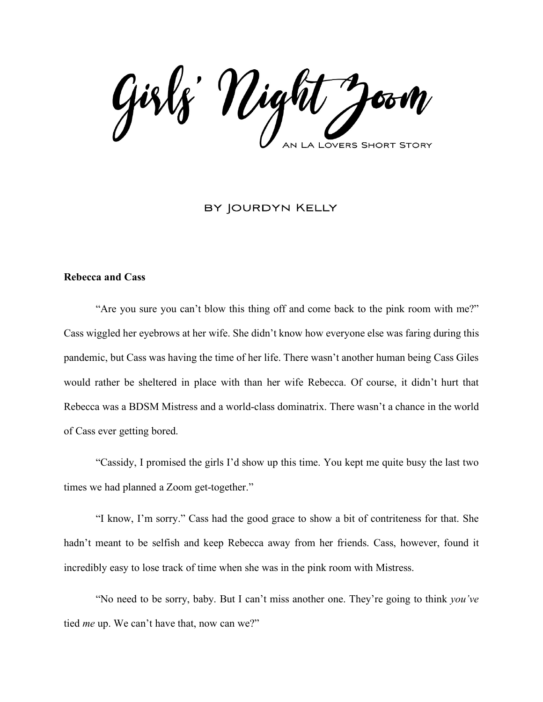Girls' Night **LOVERS SHORT STORY** 

## BY JOURDYN KELLY

#### **Rebecca and Cass**

"Are you sure you can't blow this thing off and come back to the pink room with me?" Cass wiggled her eyebrows at her wife. She didn't know how everyone else was faring during this pandemic, but Cass was having the time of her life. There wasn't another human being Cass Giles would rather be sheltered in place with than her wife Rebecca. Of course, it didn't hurt that Rebecca was a BDSM Mistress and a world-class dominatrix. There wasn't a chance in the world of Cass ever getting bored.

"Cassidy, I promised the girls I'd show up this time. You kept me quite busy the last two times we had planned a Zoom get-together."

"I know, I'm sorry." Cass had the good grace to show a bit of contriteness for that. She hadn't meant to be selfish and keep Rebecca away from her friends. Cass, however, found it incredibly easy to lose track of time when she was in the pink room with Mistress.

"No need to be sorry, baby. But I can't miss another one. They're going to think *you've* tied *me* up. We can't have that, now can we?"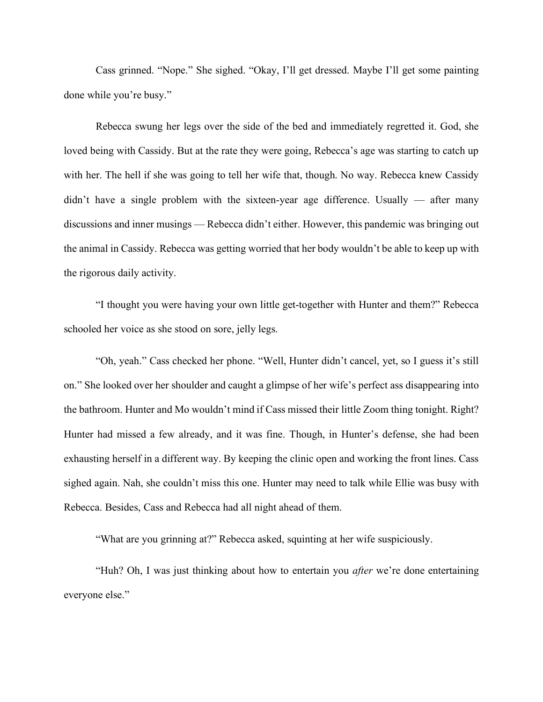Cass grinned. "Nope." She sighed. "Okay, I'll get dressed. Maybe I'll get some painting done while you're busy."

Rebecca swung her legs over the side of the bed and immediately regretted it. God, she loved being with Cassidy. But at the rate they were going, Rebecca's age was starting to catch up with her. The hell if she was going to tell her wife that, though. No way. Rebecca knew Cassidy didn't have a single problem with the sixteen-year age difference. Usually — after many discussions and inner musings — Rebecca didn't either. However, this pandemic was bringing out the animal in Cassidy. Rebecca was getting worried that her body wouldn't be able to keep up with the rigorous daily activity.

"I thought you were having your own little get-together with Hunter and them?" Rebecca schooled her voice as she stood on sore, jelly legs.

"Oh, yeah." Cass checked her phone. "Well, Hunter didn't cancel, yet, so I guess it's still on." She looked over her shoulder and caught a glimpse of her wife's perfect ass disappearing into the bathroom. Hunter and Mo wouldn't mind if Cass missed their little Zoom thing tonight. Right? Hunter had missed a few already, and it was fine. Though, in Hunter's defense, she had been exhausting herself in a different way. By keeping the clinic open and working the front lines. Cass sighed again. Nah, she couldn't miss this one. Hunter may need to talk while Ellie was busy with Rebecca. Besides, Cass and Rebecca had all night ahead of them.

"What are you grinning at?" Rebecca asked, squinting at her wife suspiciously.

"Huh? Oh, I was just thinking about how to entertain you *after* we're done entertaining everyone else."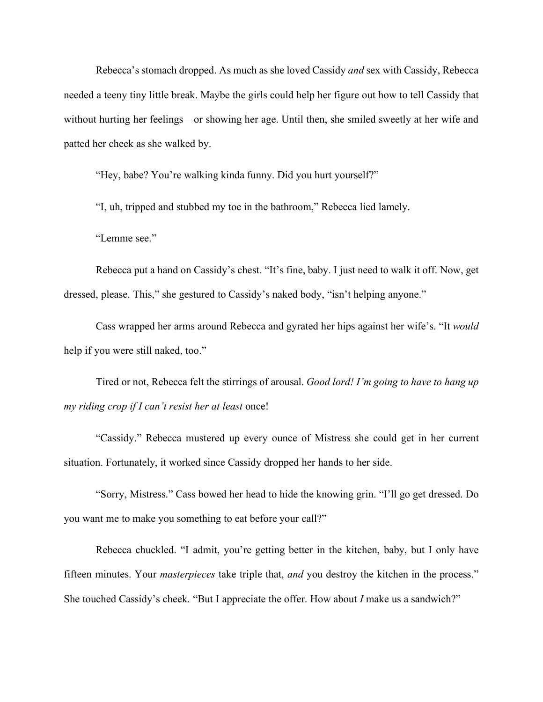Rebecca's stomach dropped. As much as she loved Cassidy *and* sex with Cassidy, Rebecca needed a teeny tiny little break. Maybe the girls could help her figure out how to tell Cassidy that without hurting her feelings—or showing her age. Until then, she smiled sweetly at her wife and patted her cheek as she walked by.

"Hey, babe? You're walking kinda funny. Did you hurt yourself?"

"I, uh, tripped and stubbed my toe in the bathroom," Rebecca lied lamely.

"Lemme see."

Rebecca put a hand on Cassidy's chest. "It's fine, baby. I just need to walk it off. Now, get dressed, please. This," she gestured to Cassidy's naked body, "isn't helping anyone."

Cass wrapped her arms around Rebecca and gyrated her hips against her wife's. "It *would* help if you were still naked, too."

Tired or not, Rebecca felt the stirrings of arousal. *Good lord! I'm going to have to hang up my riding crop if I can't resist her at least* once!

"Cassidy." Rebecca mustered up every ounce of Mistress she could get in her current situation. Fortunately, it worked since Cassidy dropped her hands to her side.

"Sorry, Mistress." Cass bowed her head to hide the knowing grin. "I'll go get dressed. Do you want me to make you something to eat before your call?"

Rebecca chuckled. "I admit, you're getting better in the kitchen, baby, but I only have fifteen minutes. Your *masterpieces* take triple that, *and* you destroy the kitchen in the process." She touched Cassidy's cheek. "But I appreciate the offer. How about *I* make us a sandwich?"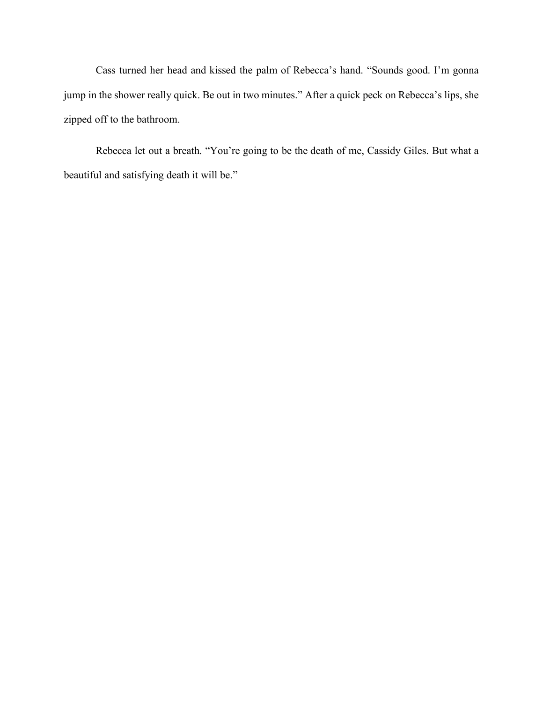Cass turned her head and kissed the palm of Rebecca's hand. "Sounds good. I'm gonna jump in the shower really quick. Be out in two minutes." After a quick peck on Rebecca's lips, she zipped off to the bathroom.

Rebecca let out a breath. "You're going to be the death of me, Cassidy Giles. But what a beautiful and satisfying death it will be."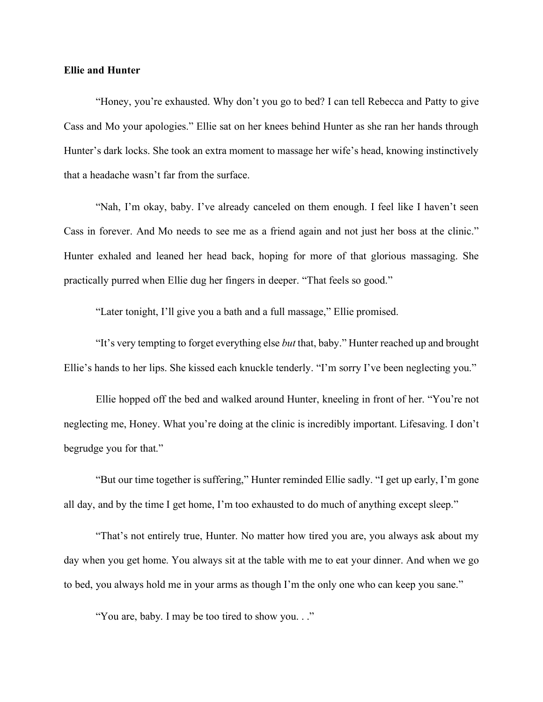#### **Ellie and Hunter**

"Honey, you're exhausted. Why don't you go to bed? I can tell Rebecca and Patty to give Cass and Mo your apologies." Ellie sat on her knees behind Hunter as she ran her hands through Hunter's dark locks. She took an extra moment to massage her wife's head, knowing instinctively that a headache wasn't far from the surface.

"Nah, I'm okay, baby. I've already canceled on them enough. I feel like I haven't seen Cass in forever. And Mo needs to see me as a friend again and not just her boss at the clinic." Hunter exhaled and leaned her head back, hoping for more of that glorious massaging. She practically purred when Ellie dug her fingers in deeper. "That feels so good."

"Later tonight, I'll give you a bath and a full massage," Ellie promised.

"It's very tempting to forget everything else *but* that, baby." Hunter reached up and brought Ellie's hands to her lips. She kissed each knuckle tenderly. "I'm sorry I've been neglecting you."

Ellie hopped off the bed and walked around Hunter, kneeling in front of her. "You're not neglecting me, Honey. What you're doing at the clinic is incredibly important. Lifesaving. I don't begrudge you for that."

"But our time together is suffering," Hunter reminded Ellie sadly. "I get up early, I'm gone all day, and by the time I get home, I'm too exhausted to do much of anything except sleep."

"That's not entirely true, Hunter. No matter how tired you are, you always ask about my day when you get home. You always sit at the table with me to eat your dinner. And when we go to bed, you always hold me in your arms as though I'm the only one who can keep you sane."

"You are, baby. I may be too tired to show you. . ."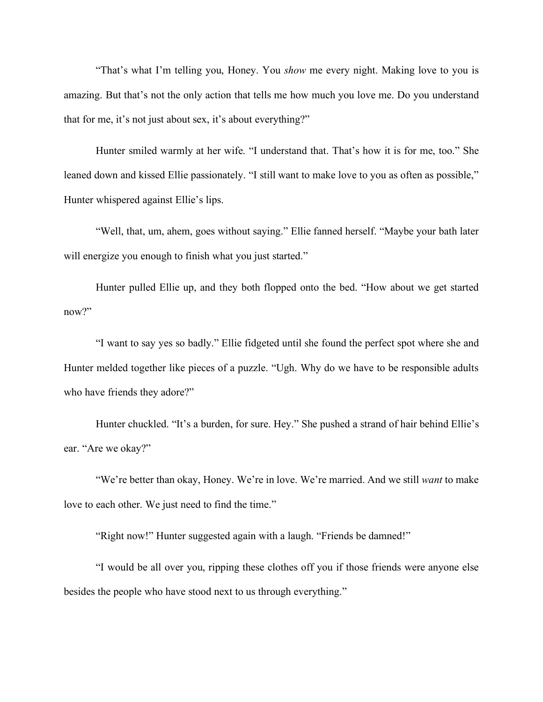"That's what I'm telling you, Honey. You *show* me every night. Making love to you is amazing. But that's not the only action that tells me how much you love me. Do you understand that for me, it's not just about sex, it's about everything?"

Hunter smiled warmly at her wife. "I understand that. That's how it is for me, too." She leaned down and kissed Ellie passionately. "I still want to make love to you as often as possible," Hunter whispered against Ellie's lips.

"Well, that, um, ahem, goes without saying." Ellie fanned herself. "Maybe your bath later will energize you enough to finish what you just started."

Hunter pulled Ellie up, and they both flopped onto the bed. "How about we get started now?"

"I want to say yes so badly." Ellie fidgeted until she found the perfect spot where she and Hunter melded together like pieces of a puzzle. "Ugh. Why do we have to be responsible adults who have friends they adore?"

Hunter chuckled. "It's a burden, for sure. Hey." She pushed a strand of hair behind Ellie's ear. "Are we okay?"

"We're better than okay, Honey. We're in love. We're married. And we still *want* to make love to each other. We just need to find the time."

"Right now!" Hunter suggested again with a laugh. "Friends be damned!"

"I would be all over you, ripping these clothes off you if those friends were anyone else besides the people who have stood next to us through everything."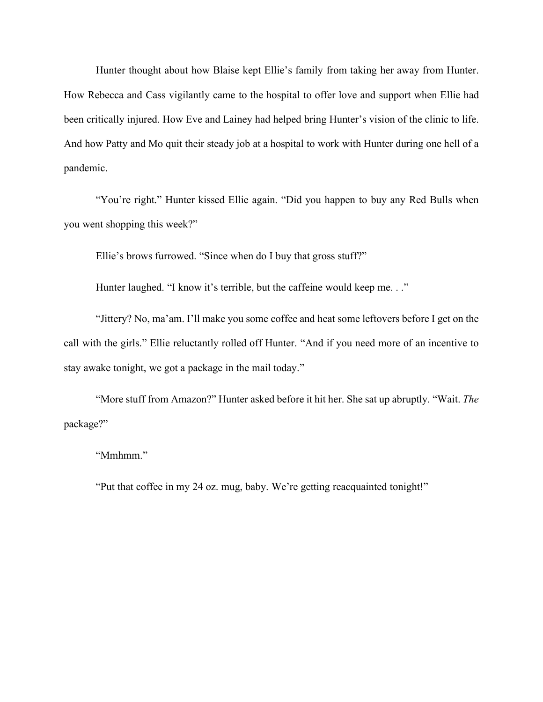Hunter thought about how Blaise kept Ellie's family from taking her away from Hunter. How Rebecca and Cass vigilantly came to the hospital to offer love and support when Ellie had been critically injured. How Eve and Lainey had helped bring Hunter's vision of the clinic to life. And how Patty and Mo quit their steady job at a hospital to work with Hunter during one hell of a pandemic.

"You're right." Hunter kissed Ellie again. "Did you happen to buy any Red Bulls when you went shopping this week?"

Ellie's brows furrowed. "Since when do I buy that gross stuff?"

Hunter laughed. "I know it's terrible, but the caffeine would keep me..."

"Jittery? No, ma'am. I'll make you some coffee and heat some leftovers before I get on the call with the girls." Ellie reluctantly rolled off Hunter. "And if you need more of an incentive to stay awake tonight, we got a package in the mail today."

"More stuff from Amazon?" Hunter asked before it hit her. She sat up abruptly. "Wait. *The* package?"

"Mmhmm."

"Put that coffee in my 24 oz. mug, baby. We're getting reacquainted tonight!"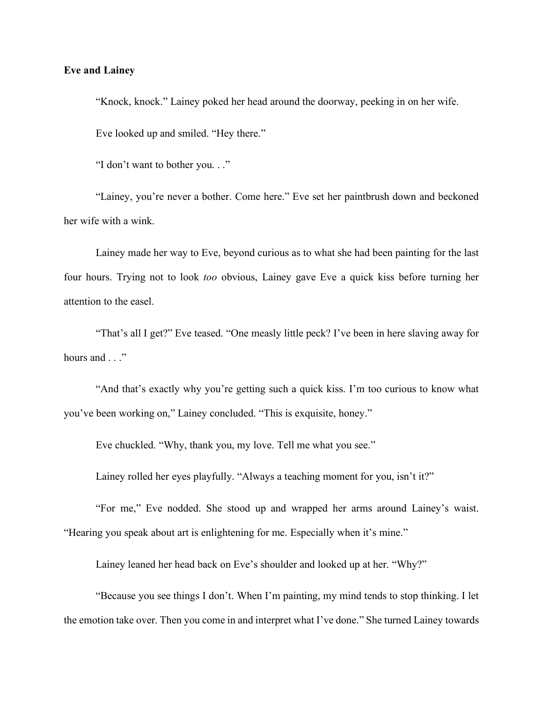#### **Eve and Lainey**

"Knock, knock." Lainey poked her head around the doorway, peeking in on her wife. Eve looked up and smiled. "Hey there."

"I don't want to bother you. . ."

"Lainey, you're never a bother. Come here." Eve set her paintbrush down and beckoned her wife with a wink.

Lainey made her way to Eve, beyond curious as to what she had been painting for the last four hours. Trying not to look *too* obvious, Lainey gave Eve a quick kiss before turning her attention to the easel.

"That's all I get?" Eve teased. "One measly little peck? I've been in here slaving away for hours and . . ."

"And that's exactly why you're getting such a quick kiss. I'm too curious to know what you've been working on," Lainey concluded. "This is exquisite, honey."

Eve chuckled. "Why, thank you, my love. Tell me what you see."

Lainey rolled her eyes playfully. "Always a teaching moment for you, isn't it?"

"For me," Eve nodded. She stood up and wrapped her arms around Lainey's waist. "Hearing you speak about art is enlightening for me. Especially when it's mine."

Lainey leaned her head back on Eve's shoulder and looked up at her. "Why?"

"Because you see things I don't. When I'm painting, my mind tends to stop thinking. I let the emotion take over. Then you come in and interpret what I've done." She turned Lainey towards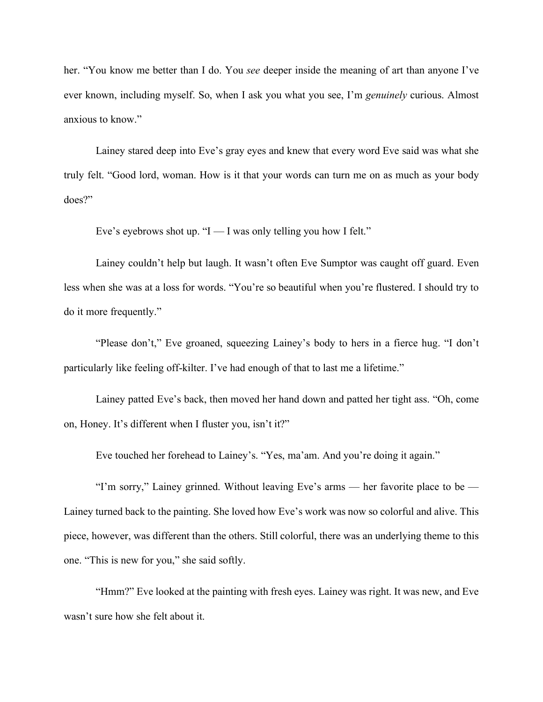her. "You know me better than I do. You *see* deeper inside the meaning of art than anyone I've ever known, including myself. So, when I ask you what you see, I'm *genuinely* curious. Almost anxious to know."

Lainey stared deep into Eve's gray eyes and knew that every word Eve said was what she truly felt. "Good lord, woman. How is it that your words can turn me on as much as your body does?"

Eve's eyebrows shot up. " $I - I$  was only telling you how I felt."

Lainey couldn't help but laugh. It wasn't often Eve Sumptor was caught off guard. Even less when she was at a loss for words. "You're so beautiful when you're flustered. I should try to do it more frequently."

"Please don't," Eve groaned, squeezing Lainey's body to hers in a fierce hug. "I don't particularly like feeling off-kilter. I've had enough of that to last me a lifetime."

Lainey patted Eve's back, then moved her hand down and patted her tight ass. "Oh, come on, Honey. It's different when I fluster you, isn't it?"

Eve touched her forehead to Lainey's. "Yes, ma'am. And you're doing it again."

"I'm sorry," Lainey grinned. Without leaving Eve's arms — her favorite place to be — Lainey turned back to the painting. She loved how Eve's work was now so colorful and alive. This piece, however, was different than the others. Still colorful, there was an underlying theme to this one. "This is new for you," she said softly.

"Hmm?" Eve looked at the painting with fresh eyes. Lainey was right. It was new, and Eve wasn't sure how she felt about it.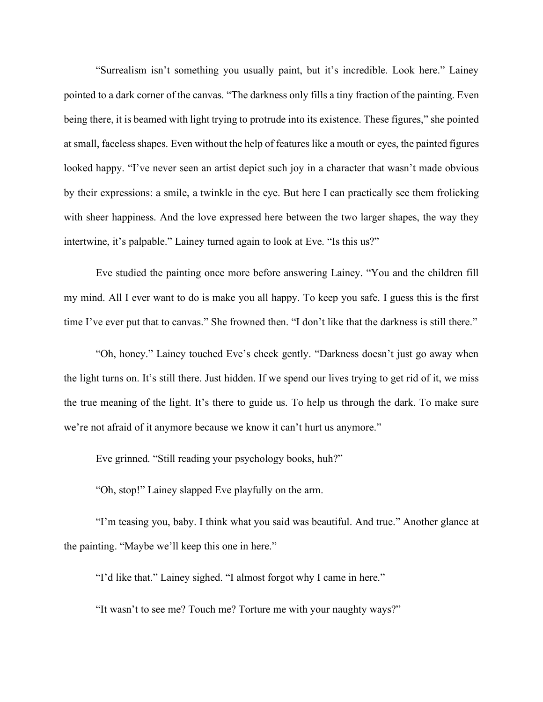"Surrealism isn't something you usually paint, but it's incredible. Look here." Lainey pointed to a dark corner of the canvas. "The darkness only fills a tiny fraction of the painting. Even being there, it is beamed with light trying to protrude into its existence. These figures," she pointed at small, faceless shapes. Even without the help of features like a mouth or eyes, the painted figures looked happy. "I've never seen an artist depict such joy in a character that wasn't made obvious by their expressions: a smile, a twinkle in the eye. But here I can practically see them frolicking with sheer happiness. And the love expressed here between the two larger shapes, the way they intertwine, it's palpable." Lainey turned again to look at Eve. "Is this us?"

Eve studied the painting once more before answering Lainey. "You and the children fill my mind. All I ever want to do is make you all happy. To keep you safe. I guess this is the first time I've ever put that to canvas." She frowned then. "I don't like that the darkness is still there."

"Oh, honey." Lainey touched Eve's cheek gently. "Darkness doesn't just go away when the light turns on. It's still there. Just hidden. If we spend our lives trying to get rid of it, we miss the true meaning of the light. It's there to guide us. To help us through the dark. To make sure we're not afraid of it anymore because we know it can't hurt us anymore."

Eve grinned. "Still reading your psychology books, huh?"

"Oh, stop!" Lainey slapped Eve playfully on the arm.

"I'm teasing you, baby. I think what you said was beautiful. And true." Another glance at the painting. "Maybe we'll keep this one in here."

"I'd like that." Lainey sighed. "I almost forgot why I came in here."

"It wasn't to see me? Touch me? Torture me with your naughty ways?"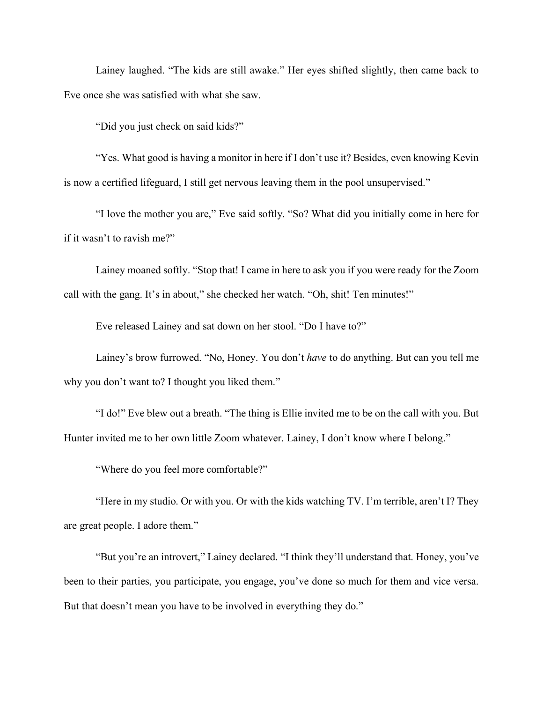Lainey laughed. "The kids are still awake." Her eyes shifted slightly, then came back to Eve once she was satisfied with what she saw.

"Did you just check on said kids?"

"Yes. What good is having a monitor in here if I don't use it? Besides, even knowing Kevin is now a certified lifeguard, I still get nervous leaving them in the pool unsupervised."

"I love the mother you are," Eve said softly. "So? What did you initially come in here for if it wasn't to ravish me?"

Lainey moaned softly. "Stop that! I came in here to ask you if you were ready for the Zoom call with the gang. It's in about," she checked her watch. "Oh, shit! Ten minutes!"

Eve released Lainey and sat down on her stool. "Do I have to?"

Lainey's brow furrowed. "No, Honey. You don't *have* to do anything. But can you tell me why you don't want to? I thought you liked them."

"I do!" Eve blew out a breath. "The thing is Ellie invited me to be on the call with you. But Hunter invited me to her own little Zoom whatever. Lainey, I don't know where I belong."

"Where do you feel more comfortable?"

"Here in my studio. Or with you. Or with the kids watching TV. I'm terrible, aren't I? They are great people. I adore them."

"But you're an introvert," Lainey declared. "I think they'll understand that. Honey, you've been to their parties, you participate, you engage, you've done so much for them and vice versa. But that doesn't mean you have to be involved in everything they do."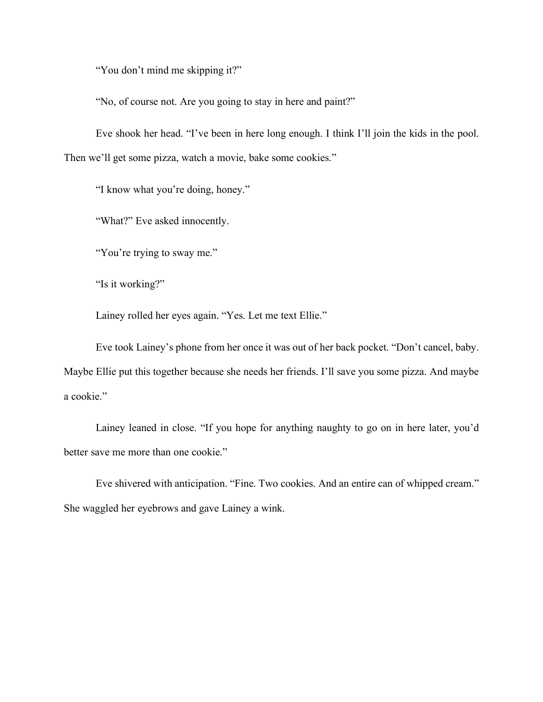"You don't mind me skipping it?"

"No, of course not. Are you going to stay in here and paint?"

Eve shook her head. "I've been in here long enough. I think I'll join the kids in the pool. Then we'll get some pizza, watch a movie, bake some cookies."

"I know what you're doing, honey."

"What?" Eve asked innocently.

"You're trying to sway me."

"Is it working?"

Lainey rolled her eyes again. "Yes. Let me text Ellie."

Eve took Lainey's phone from her once it was out of her back pocket. "Don't cancel, baby. Maybe Ellie put this together because she needs her friends. I'll save you some pizza. And maybe a cookie."

Lainey leaned in close. "If you hope for anything naughty to go on in here later, you'd better save me more than one cookie."

Eve shivered with anticipation. "Fine. Two cookies. And an entire can of whipped cream." She waggled her eyebrows and gave Lainey a wink.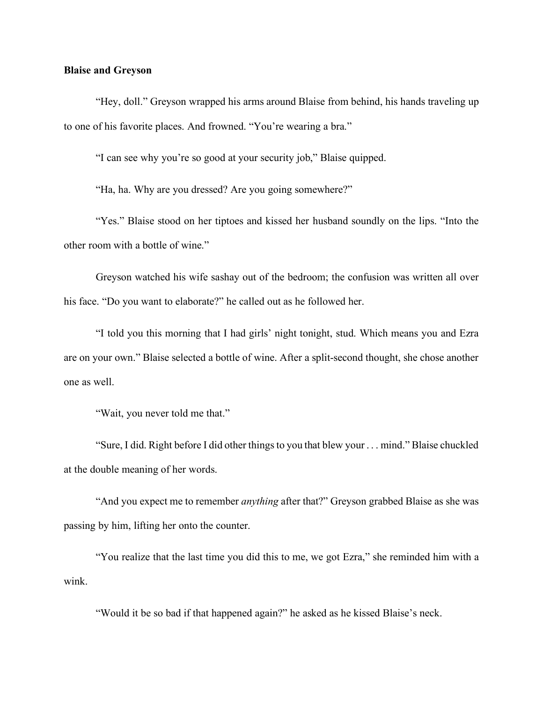#### **Blaise and Greyson**

"Hey, doll." Greyson wrapped his arms around Blaise from behind, his hands traveling up to one of his favorite places. And frowned. "You're wearing a bra."

"I can see why you're so good at your security job," Blaise quipped.

"Ha, ha. Why are you dressed? Are you going somewhere?"

"Yes." Blaise stood on her tiptoes and kissed her husband soundly on the lips. "Into the other room with a bottle of wine."

Greyson watched his wife sashay out of the bedroom; the confusion was written all over his face. "Do you want to elaborate?" he called out as he followed her.

"I told you this morning that I had girls' night tonight, stud. Which means you and Ezra are on your own." Blaise selected a bottle of wine. After a split-second thought, she chose another one as well.

"Wait, you never told me that."

"Sure, I did. Right before I did other things to you that blew your . . . mind." Blaise chuckled at the double meaning of her words.

"And you expect me to remember *anything* after that?" Greyson grabbed Blaise as she was passing by him, lifting her onto the counter.

"You realize that the last time you did this to me, we got Ezra," she reminded him with a wink.

"Would it be so bad if that happened again?" he asked as he kissed Blaise's neck.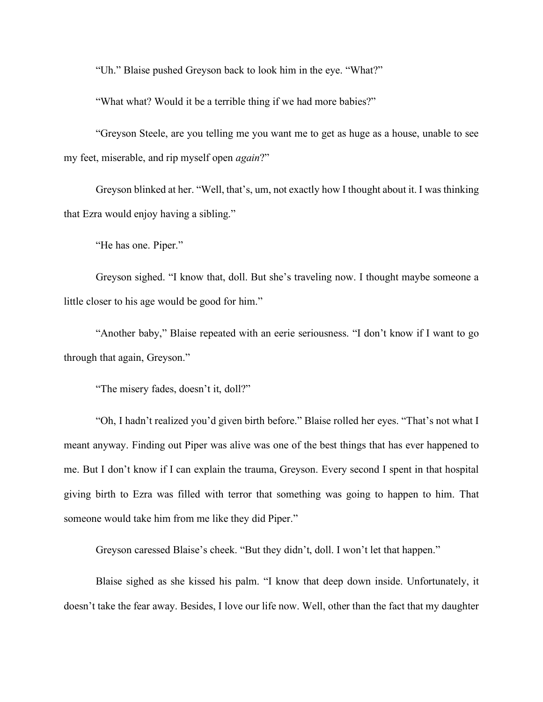"Uh." Blaise pushed Greyson back to look him in the eye. "What?"

"What what? Would it be a terrible thing if we had more babies?"

"Greyson Steele, are you telling me you want me to get as huge as a house, unable to see my feet, miserable, and rip myself open *again*?"

Greyson blinked at her. "Well, that's, um, not exactly how I thought about it. I was thinking that Ezra would enjoy having a sibling."

"He has one. Piper."

Greyson sighed. "I know that, doll. But she's traveling now. I thought maybe someone a little closer to his age would be good for him."

"Another baby," Blaise repeated with an eerie seriousness. "I don't know if I want to go through that again, Greyson."

"The misery fades, doesn't it, doll?"

"Oh, I hadn't realized you'd given birth before." Blaise rolled her eyes. "That's not what I meant anyway. Finding out Piper was alive was one of the best things that has ever happened to me. But I don't know if I can explain the trauma, Greyson. Every second I spent in that hospital giving birth to Ezra was filled with terror that something was going to happen to him. That someone would take him from me like they did Piper."

Greyson caressed Blaise's cheek. "But they didn't, doll. I won't let that happen."

Blaise sighed as she kissed his palm. "I know that deep down inside. Unfortunately, it doesn't take the fear away. Besides, I love our life now. Well, other than the fact that my daughter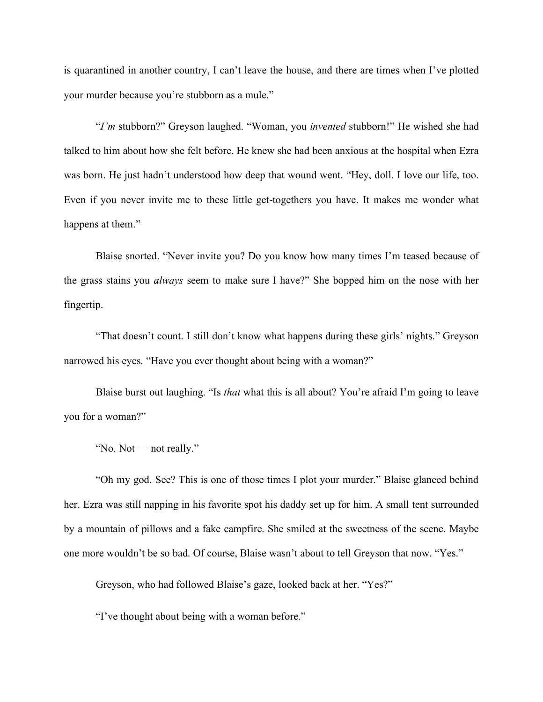is quarantined in another country, I can't leave the house, and there are times when I've plotted your murder because you're stubborn as a mule."

"*I'm* stubborn?" Greyson laughed. "Woman, you *invented* stubborn!" He wished she had talked to him about how she felt before. He knew she had been anxious at the hospital when Ezra was born. He just hadn't understood how deep that wound went. "Hey, doll. I love our life, too. Even if you never invite me to these little get-togethers you have. It makes me wonder what happens at them."

Blaise snorted. "Never invite you? Do you know how many times I'm teased because of the grass stains you *always* seem to make sure I have?" She bopped him on the nose with her fingertip.

"That doesn't count. I still don't know what happens during these girls' nights." Greyson narrowed his eyes. "Have you ever thought about being with a woman?"

Blaise burst out laughing. "Is *that* what this is all about? You're afraid I'm going to leave you for a woman?"

"No. Not — not really."

"Oh my god. See? This is one of those times I plot your murder." Blaise glanced behind her. Ezra was still napping in his favorite spot his daddy set up for him. A small tent surrounded by a mountain of pillows and a fake campfire. She smiled at the sweetness of the scene. Maybe one more wouldn't be so bad. Of course, Blaise wasn't about to tell Greyson that now. "Yes."

Greyson, who had followed Blaise's gaze, looked back at her. "Yes?"

"I've thought about being with a woman before."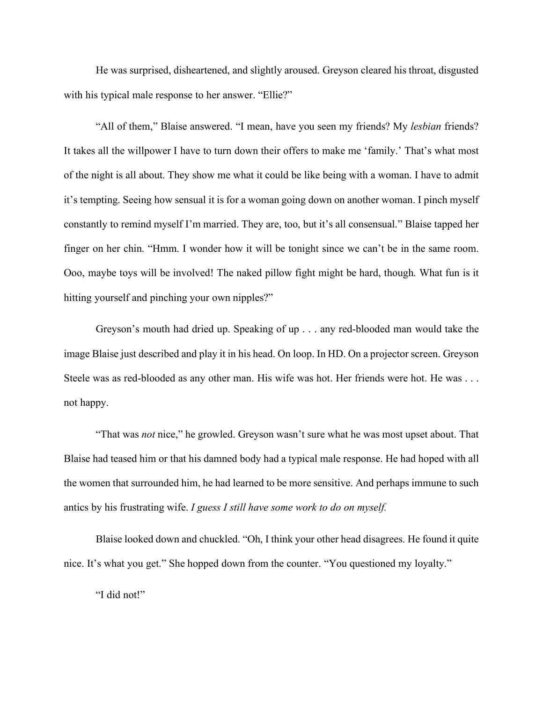He was surprised, disheartened, and slightly aroused. Greyson cleared his throat, disgusted with his typical male response to her answer. "Ellie?"

"All of them," Blaise answered. "I mean, have you seen my friends? My *lesbian* friends? It takes all the willpower I have to turn down their offers to make me 'family.' That's what most of the night is all about. They show me what it could be like being with a woman. I have to admit it's tempting. Seeing how sensual it is for a woman going down on another woman. I pinch myself constantly to remind myself I'm married. They are, too, but it's all consensual." Blaise tapped her finger on her chin. "Hmm. I wonder how it will be tonight since we can't be in the same room. Ooo, maybe toys will be involved! The naked pillow fight might be hard, though. What fun is it hitting yourself and pinching your own nipples?"

Greyson's mouth had dried up. Speaking of up . . . any red-blooded man would take the image Blaise just described and play it in his head. On loop. In HD. On a projector screen. Greyson Steele was as red-blooded as any other man. His wife was hot. Her friends were hot. He was . . . not happy.

"That was *not* nice," he growled. Greyson wasn't sure what he was most upset about. That Blaise had teased him or that his damned body had a typical male response. He had hoped with all the women that surrounded him, he had learned to be more sensitive. And perhaps immune to such antics by his frustrating wife. *I guess I still have some work to do on myself.*

Blaise looked down and chuckled. "Oh, I think your other head disagrees. He found it quite nice. It's what you get." She hopped down from the counter. "You questioned my loyalty."

"I did not!"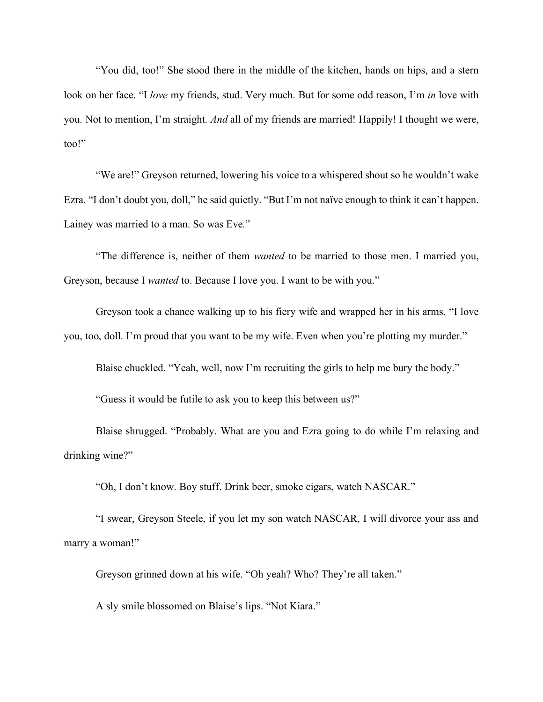"You did, too!" She stood there in the middle of the kitchen, hands on hips, and a stern look on her face. "I *love* my friends, stud. Very much. But for some odd reason, I'm *in* love with you. Not to mention, I'm straight. *And* all of my friends are married! Happily! I thought we were, too!"

"We are!" Greyson returned, lowering his voice to a whispered shout so he wouldn't wake Ezra. "I don't doubt you, doll," he said quietly. "But I'm not naïve enough to think it can't happen. Lainey was married to a man. So was Eve."

"The difference is, neither of them *wanted* to be married to those men. I married you, Greyson, because I *wanted* to. Because I love you. I want to be with you."

Greyson took a chance walking up to his fiery wife and wrapped her in his arms. "I love you, too, doll. I'm proud that you want to be my wife. Even when you're plotting my murder."

Blaise chuckled. "Yeah, well, now I'm recruiting the girls to help me bury the body."

"Guess it would be futile to ask you to keep this between us?"

Blaise shrugged. "Probably. What are you and Ezra going to do while I'm relaxing and drinking wine?"

"Oh, I don't know. Boy stuff. Drink beer, smoke cigars, watch NASCAR."

"I swear, Greyson Steele, if you let my son watch NASCAR, I will divorce your ass and marry a woman!"

Greyson grinned down at his wife. "Oh yeah? Who? They're all taken."

A sly smile blossomed on Blaise's lips. "Not Kiara."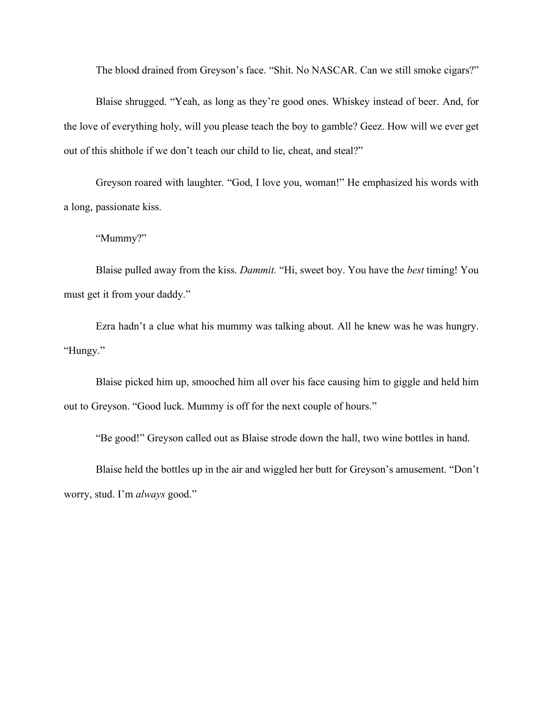The blood drained from Greyson's face. "Shit. No NASCAR. Can we still smoke cigars?"

Blaise shrugged. "Yeah, as long as they're good ones. Whiskey instead of beer. And, for the love of everything holy, will you please teach the boy to gamble? Geez. How will we ever get out of this shithole if we don't teach our child to lie, cheat, and steal?"

Greyson roared with laughter. "God, I love you, woman!" He emphasized his words with a long, passionate kiss.

"Mummy?"

Blaise pulled away from the kiss. *Dammit.* "Hi, sweet boy. You have the *best* timing! You must get it from your daddy."

Ezra hadn't a clue what his mummy was talking about. All he knew was he was hungry. "Hungy."

Blaise picked him up, smooched him all over his face causing him to giggle and held him out to Greyson. "Good luck. Mummy is off for the next couple of hours."

"Be good!" Greyson called out as Blaise strode down the hall, two wine bottles in hand.

Blaise held the bottles up in the air and wiggled her butt for Greyson's amusement. "Don't worry, stud. I'm *always* good."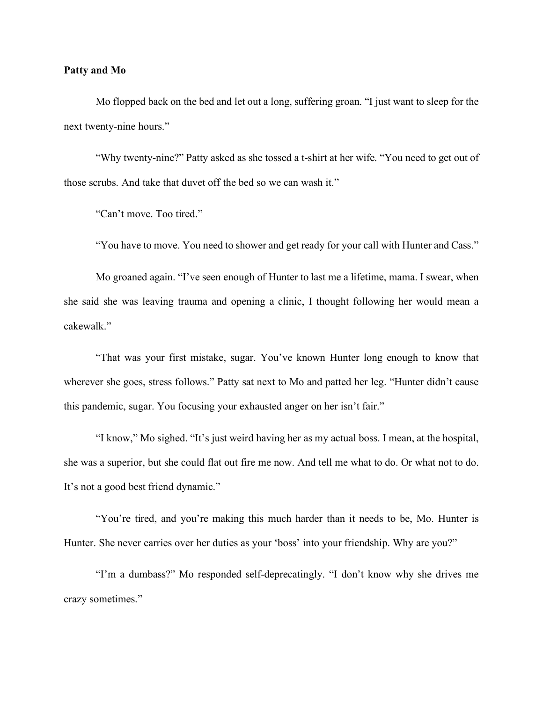#### **Patty and Mo**

Mo flopped back on the bed and let out a long, suffering groan. "I just want to sleep for the next twenty-nine hours."

"Why twenty-nine?" Patty asked as she tossed a t-shirt at her wife. "You need to get out of those scrubs. And take that duvet off the bed so we can wash it."

"Can't move. Too tired."

"You have to move. You need to shower and get ready for your call with Hunter and Cass."

Mo groaned again. "I've seen enough of Hunter to last me a lifetime, mama. I swear, when she said she was leaving trauma and opening a clinic, I thought following her would mean a cakewalk."

"That was your first mistake, sugar. You've known Hunter long enough to know that wherever she goes, stress follows." Patty sat next to Mo and patted her leg. "Hunter didn't cause this pandemic, sugar. You focusing your exhausted anger on her isn't fair."

"I know," Mo sighed. "It's just weird having her as my actual boss. I mean, at the hospital, she was a superior, but she could flat out fire me now. And tell me what to do. Or what not to do. It's not a good best friend dynamic."

"You're tired, and you're making this much harder than it needs to be, Mo. Hunter is Hunter. She never carries over her duties as your 'boss' into your friendship. Why are you?"

"I'm a dumbass?" Mo responded self-deprecatingly. "I don't know why she drives me crazy sometimes."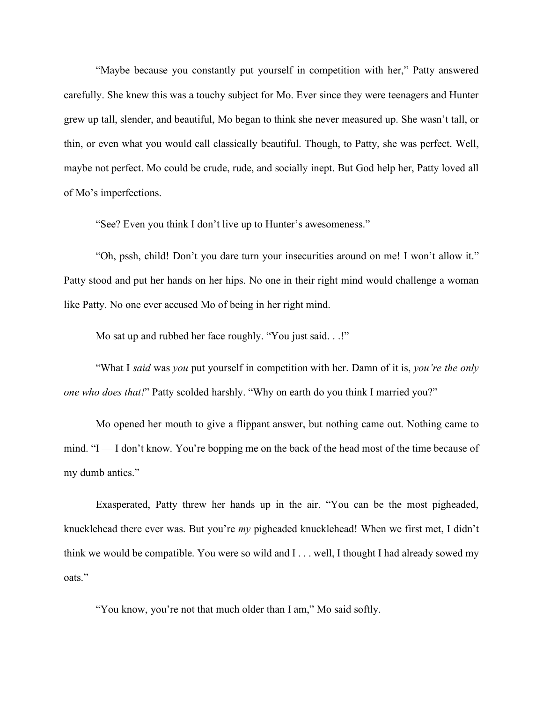"Maybe because you constantly put yourself in competition with her," Patty answered carefully. She knew this was a touchy subject for Mo. Ever since they were teenagers and Hunter grew up tall, slender, and beautiful, Mo began to think she never measured up. She wasn't tall, or thin, or even what you would call classically beautiful. Though, to Patty, she was perfect. Well, maybe not perfect. Mo could be crude, rude, and socially inept. But God help her, Patty loved all of Mo's imperfections.

"See? Even you think I don't live up to Hunter's awesomeness."

"Oh, pssh, child! Don't you dare turn your insecurities around on me! I won't allow it." Patty stood and put her hands on her hips. No one in their right mind would challenge a woman like Patty. No one ever accused Mo of being in her right mind.

Mo sat up and rubbed her face roughly. "You just said. . .!"

"What I *said* was *you* put yourself in competition with her. Damn of it is, *you're the only one who does that!*" Patty scolded harshly. "Why on earth do you think I married you?"

Mo opened her mouth to give a flippant answer, but nothing came out. Nothing came to mind. "I — I don't know. You're bopping me on the back of the head most of the time because of my dumb antics."

Exasperated, Patty threw her hands up in the air. "You can be the most pigheaded, knucklehead there ever was. But you're *my* pigheaded knucklehead! When we first met, I didn't think we would be compatible. You were so wild and I . . . well, I thought I had already sowed my oats."

"You know, you're not that much older than I am," Mo said softly.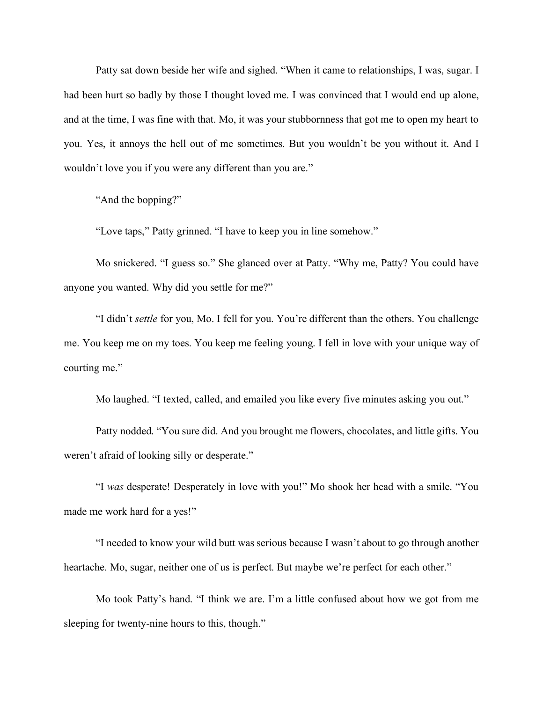Patty sat down beside her wife and sighed. "When it came to relationships, I was, sugar. I had been hurt so badly by those I thought loved me. I was convinced that I would end up alone, and at the time, I was fine with that. Mo, it was your stubbornness that got me to open my heart to you. Yes, it annoys the hell out of me sometimes. But you wouldn't be you without it. And I wouldn't love you if you were any different than you are."

"And the bopping?"

"Love taps," Patty grinned. "I have to keep you in line somehow."

Mo snickered. "I guess so." She glanced over at Patty. "Why me, Patty? You could have anyone you wanted. Why did you settle for me?"

"I didn't *settle* for you, Mo. I fell for you. You're different than the others. You challenge me. You keep me on my toes. You keep me feeling young. I fell in love with your unique way of courting me."

Mo laughed. "I texted, called, and emailed you like every five minutes asking you out."

Patty nodded. "You sure did. And you brought me flowers, chocolates, and little gifts. You weren't afraid of looking silly or desperate."

"I *was* desperate! Desperately in love with you!" Mo shook her head with a smile. "You made me work hard for a yes!"

"I needed to know your wild butt was serious because I wasn't about to go through another heartache. Mo, sugar, neither one of us is perfect. But maybe we're perfect for each other."

Mo took Patty's hand. "I think we are. I'm a little confused about how we got from me sleeping for twenty-nine hours to this, though."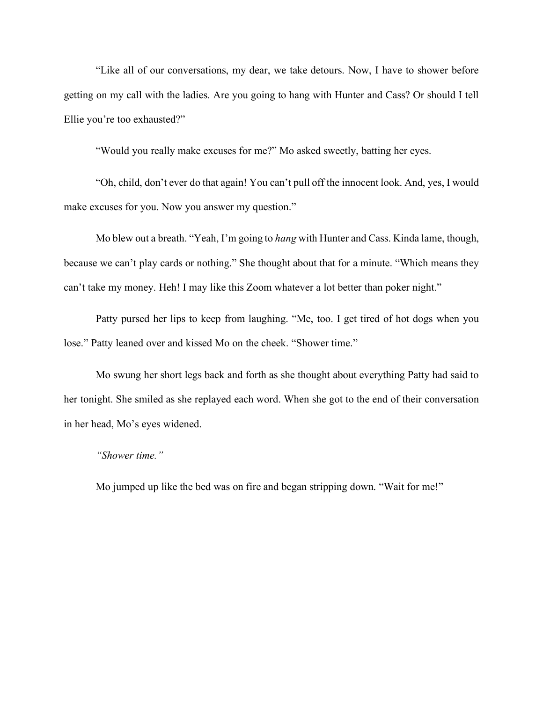"Like all of our conversations, my dear, we take detours. Now, I have to shower before getting on my call with the ladies. Are you going to hang with Hunter and Cass? Or should I tell Ellie you're too exhausted?"

"Would you really make excuses for me?" Mo asked sweetly, batting her eyes.

"Oh, child, don't ever do that again! You can't pull off the innocent look. And, yes, I would make excuses for you. Now you answer my question."

Mo blew out a breath. "Yeah, I'm going to *hang* with Hunter and Cass. Kinda lame, though, because we can't play cards or nothing." She thought about that for a minute. "Which means they can't take my money. Heh! I may like this Zoom whatever a lot better than poker night."

Patty pursed her lips to keep from laughing. "Me, too. I get tired of hot dogs when you lose." Patty leaned over and kissed Mo on the cheek. "Shower time."

Mo swung her short legs back and forth as she thought about everything Patty had said to her tonight. She smiled as she replayed each word. When she got to the end of their conversation in her head, Mo's eyes widened.

### *"Shower time."*

Mo jumped up like the bed was on fire and began stripping down. "Wait for me!"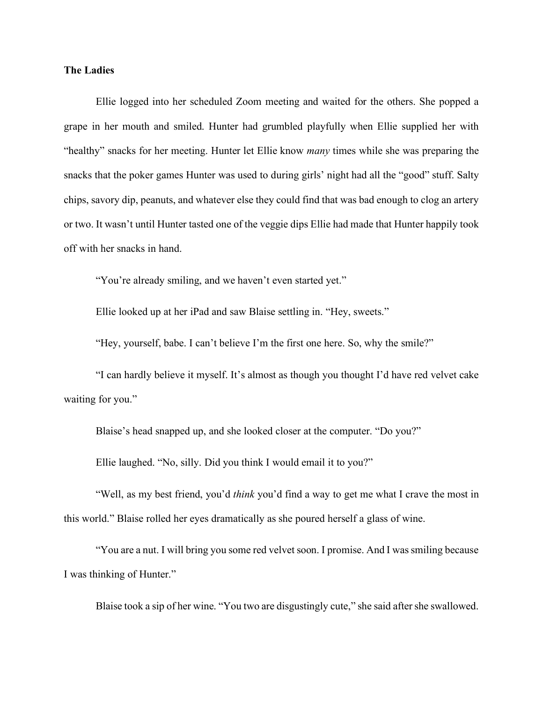#### **The Ladies**

Ellie logged into her scheduled Zoom meeting and waited for the others. She popped a grape in her mouth and smiled. Hunter had grumbled playfully when Ellie supplied her with "healthy" snacks for her meeting. Hunter let Ellie know *many* times while she was preparing the snacks that the poker games Hunter was used to during girls' night had all the "good" stuff. Salty chips, savory dip, peanuts, and whatever else they could find that was bad enough to clog an artery or two. It wasn't until Hunter tasted one of the veggie dips Ellie had made that Hunter happily took off with her snacks in hand.

"You're already smiling, and we haven't even started yet."

Ellie looked up at her iPad and saw Blaise settling in. "Hey, sweets."

"Hey, yourself, babe. I can't believe I'm the first one here. So, why the smile?"

"I can hardly believe it myself. It's almost as though you thought I'd have red velvet cake waiting for you."

Blaise's head snapped up, and she looked closer at the computer. "Do you?"

Ellie laughed. "No, silly. Did you think I would email it to you?"

"Well, as my best friend, you'd *think* you'd find a way to get me what I crave the most in this world." Blaise rolled her eyes dramatically as she poured herself a glass of wine.

"You are a nut. I will bring you some red velvet soon. I promise. And I was smiling because I was thinking of Hunter."

Blaise took a sip of her wine. "You two are disgustingly cute," she said after she swallowed.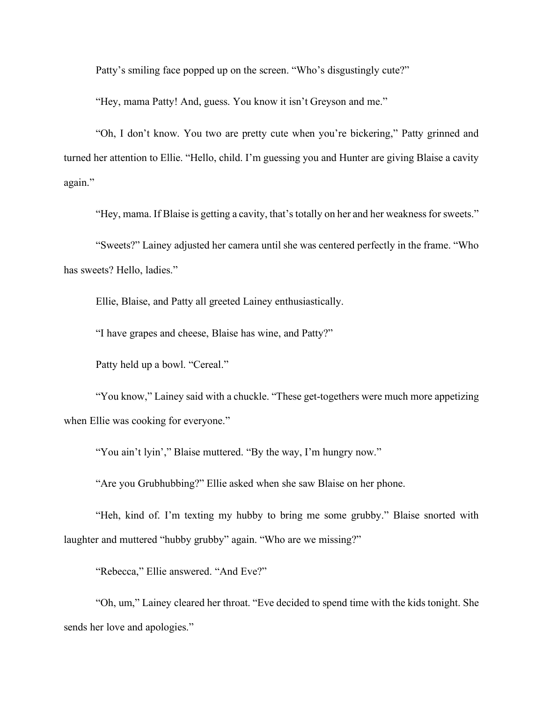Patty's smiling face popped up on the screen. "Who's disgustingly cute?"

"Hey, mama Patty! And, guess. You know it isn't Greyson and me."

"Oh, I don't know. You two are pretty cute when you're bickering," Patty grinned and turned her attention to Ellie. "Hello, child. I'm guessing you and Hunter are giving Blaise a cavity again."

"Hey, mama. If Blaise is getting a cavity, that's totally on her and her weakness for sweets."

"Sweets?" Lainey adjusted her camera until she was centered perfectly in the frame. "Who has sweets? Hello, ladies."

Ellie, Blaise, and Patty all greeted Lainey enthusiastically.

"I have grapes and cheese, Blaise has wine, and Patty?"

Patty held up a bowl. "Cereal."

"You know," Lainey said with a chuckle. "These get-togethers were much more appetizing when Ellie was cooking for everyone."

"You ain't lyin'," Blaise muttered. "By the way, I'm hungry now."

"Are you Grubhubbing?" Ellie asked when she saw Blaise on her phone.

"Heh, kind of. I'm texting my hubby to bring me some grubby." Blaise snorted with laughter and muttered "hubby grubby" again. "Who are we missing?"

"Rebecca," Ellie answered. "And Eve?"

"Oh, um," Lainey cleared her throat. "Eve decided to spend time with the kids tonight. She sends her love and apologies."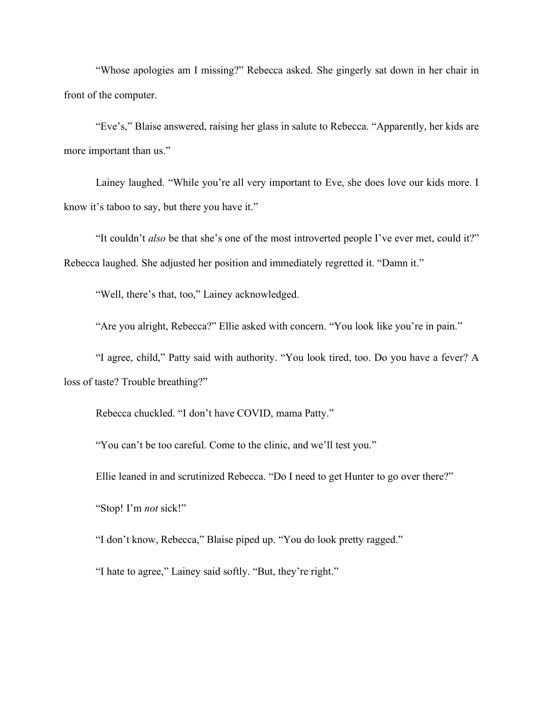"Whose apologies am I missing?" Rebecca asked. She gingerly sat down in her chair in front of the computer.

"Eve's," Blaise answered, raising her glass in salute to Rebecca. "Apparently, her kids are more important than us."

Lainey laughed. "While you're all very important to Eve, she does love our kids more. I know it's taboo to say, but there you have it."

"It couldn't *also* be that she's one of the most introverted people I've ever met, could it?" Rebecca laughed. She adjusted her position and immediately regretted it. "Damn it."

"Well, there's that, too," Lainey acknowledged.

"Are you alright, Rebecca?" Ellie asked with concern. "You look like you're in pain."

"I agree, child," Patty said with authority. "You look tired, too. Do you have a fever? A loss of taste? Trouble breathing?"

Rebecca chuckled. "I don't have COVID, mama Patty."

"You can't be too careful. Come to the clinic, and we'll test you."

Ellie leaned in and scrutinized Rebecca. "Do I need to get Hunter to go over there?"

"Stop! I'm *not* sick!"

"I don't know, Rebecca," Blaise piped up. "You do look pretty ragged."

"I hate to agree," Lainey said softly. "But, they're right."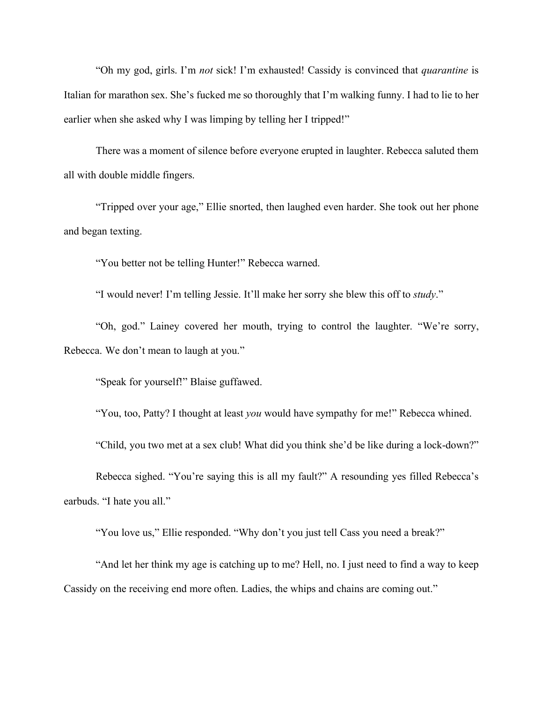"Oh my god, girls. I'm *not* sick! I'm exhausted! Cassidy is convinced that *quarantine* is Italian for marathon sex. She's fucked me so thoroughly that I'm walking funny. I had to lie to her earlier when she asked why I was limping by telling her I tripped!"

There was a moment of silence before everyone erupted in laughter. Rebecca saluted them all with double middle fingers.

"Tripped over your age," Ellie snorted, then laughed even harder. She took out her phone and began texting.

"You better not be telling Hunter!" Rebecca warned.

"I would never! I'm telling Jessie. It'll make her sorry she blew this off to *study*."

"Oh, god." Lainey covered her mouth, trying to control the laughter. "We're sorry, Rebecca. We don't mean to laugh at you."

"Speak for yourself!" Blaise guffawed.

"You, too, Patty? I thought at least *you* would have sympathy for me!" Rebecca whined.

"Child, you two met at a sex club! What did you think she'd be like during a lock-down?"

Rebecca sighed. "You're saying this is all my fault?" A resounding yes filled Rebecca's earbuds. "I hate you all."

"You love us," Ellie responded. "Why don't you just tell Cass you need a break?"

"And let her think my age is catching up to me? Hell, no. I just need to find a way to keep Cassidy on the receiving end more often. Ladies, the whips and chains are coming out."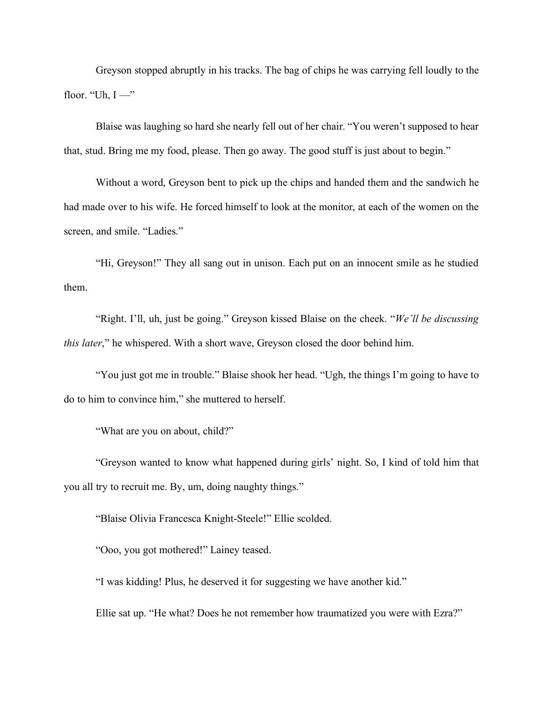Greyson stopped abruptly in his tracks. The bag of chips he was carrying fell loudly to the floor. "Uh,  $I \rightarrow$ "

Blaise was laughing so hard she nearly fell out of her chair. "You weren't supposed to hear that, stud. Bring me my food, please. Then go away. The good stuff is just about to begin."

Without a word, Greyson bent to pick up the chips and handed them and the sandwich he had made over to his wife. He forced himself to look at the monitor, at each of the women on the screen, and smile. "Ladies."

"Hi, Greyson!" They all sang out in unison. Each put on an innocent smile as he studied them.

"Right. I'll, uh, just be going." Greyson kissed Blaise on the cheek. "*We'll be discussing this later*," he whispered. With a short wave, Greyson closed the door behind him.

"You just got me in trouble." Blaise shook her head. "Ugh, the things I'm going to have to do to him to convince him," she muttered to herself.

"What are you on about, child?"

"Greyson wanted to know what happened during girls' night. So, I kind of told him that you all try to recruit me. By, um, doing naughty things."

"Blaise Olivia Francesca Knight-Steele!" Ellie scolded.

"Ooo, you got mothered!" Lainey teased.

"I was kidding! Plus, he deserved it for suggesting we have another kid."

Ellie sat up. "He what? Does he not remember how traumatized you were with Ezra?"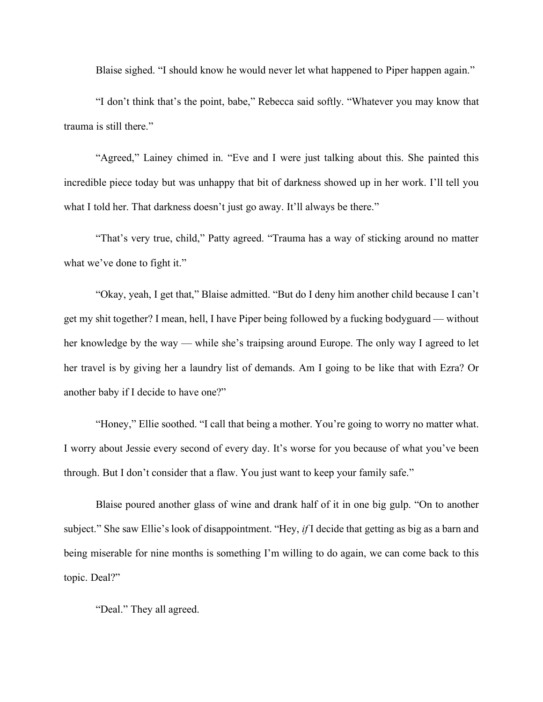Blaise sighed. "I should know he would never let what happened to Piper happen again."

"I don't think that's the point, babe," Rebecca said softly. "Whatever you may know that trauma is still there."

"Agreed," Lainey chimed in. "Eve and I were just talking about this. She painted this incredible piece today but was unhappy that bit of darkness showed up in her work. I'll tell you what I told her. That darkness doesn't just go away. It'll always be there."

"That's very true, child," Patty agreed. "Trauma has a way of sticking around no matter what we've done to fight it."

"Okay, yeah, I get that," Blaise admitted. "But do I deny him another child because I can't get my shit together? I mean, hell, I have Piper being followed by a fucking bodyguard — without her knowledge by the way — while she's traipsing around Europe. The only way I agreed to let her travel is by giving her a laundry list of demands. Am I going to be like that with Ezra? Or another baby if I decide to have one?"

"Honey," Ellie soothed. "I call that being a mother. You're going to worry no matter what. I worry about Jessie every second of every day. It's worse for you because of what you've been through. But I don't consider that a flaw. You just want to keep your family safe."

Blaise poured another glass of wine and drank half of it in one big gulp. "On to another subject." She saw Ellie's look of disappointment. "Hey, *if* I decide that getting as big as a barn and being miserable for nine months is something I'm willing to do again, we can come back to this topic. Deal?"

"Deal." They all agreed.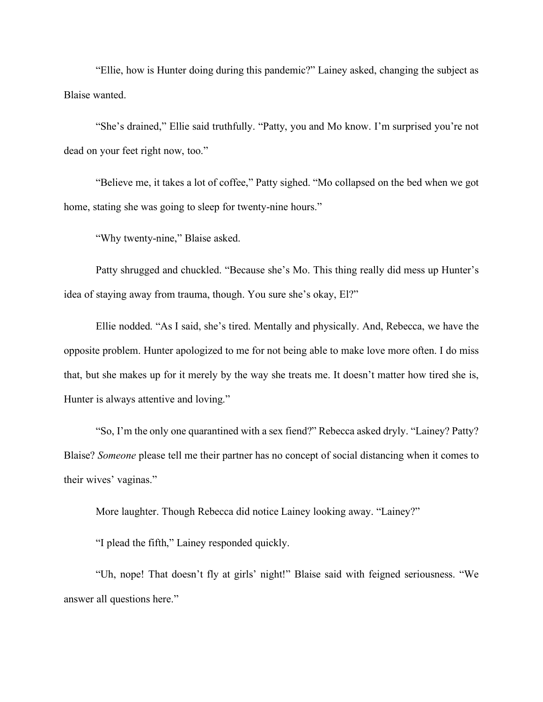"Ellie, how is Hunter doing during this pandemic?" Lainey asked, changing the subject as Blaise wanted.

"She's drained," Ellie said truthfully. "Patty, you and Mo know. I'm surprised you're not dead on your feet right now, too."

"Believe me, it takes a lot of coffee," Patty sighed. "Mo collapsed on the bed when we got home, stating she was going to sleep for twenty-nine hours."

"Why twenty-nine," Blaise asked.

Patty shrugged and chuckled. "Because she's Mo. This thing really did mess up Hunter's idea of staying away from trauma, though. You sure she's okay, El?"

Ellie nodded. "As I said, she's tired. Mentally and physically. And, Rebecca, we have the opposite problem. Hunter apologized to me for not being able to make love more often. I do miss that, but she makes up for it merely by the way she treats me. It doesn't matter how tired she is, Hunter is always attentive and loving."

"So, I'm the only one quarantined with a sex fiend?" Rebecca asked dryly. "Lainey? Patty? Blaise? *Someone* please tell me their partner has no concept of social distancing when it comes to their wives' vaginas."

More laughter. Though Rebecca did notice Lainey looking away. "Lainey?"

"I plead the fifth," Lainey responded quickly.

"Uh, nope! That doesn't fly at girls' night!" Blaise said with feigned seriousness. "We answer all questions here."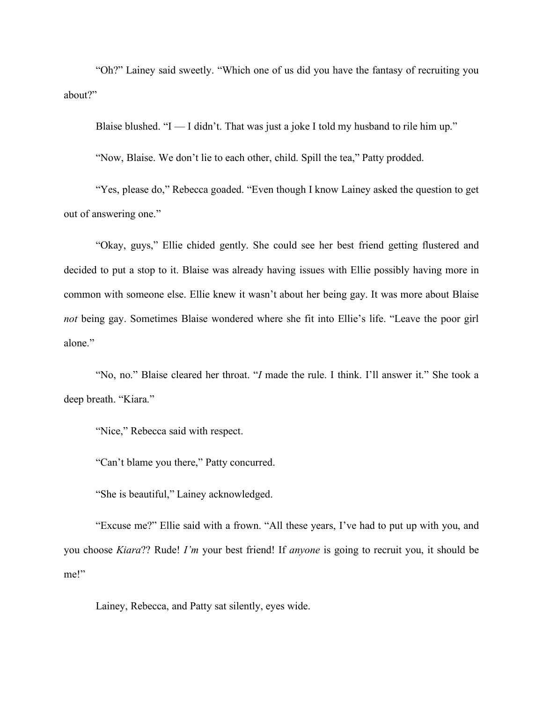"Oh?" Lainey said sweetly. "Which one of us did you have the fantasy of recruiting you about?"

Blaise blushed. " $I - I$  didn't. That was just a joke I told my husband to rile him up."

"Now, Blaise. We don't lie to each other, child. Spill the tea," Patty prodded.

"Yes, please do," Rebecca goaded. "Even though I know Lainey asked the question to get out of answering one."

"Okay, guys," Ellie chided gently. She could see her best friend getting flustered and decided to put a stop to it. Blaise was already having issues with Ellie possibly having more in common with someone else. Ellie knew it wasn't about her being gay. It was more about Blaise *not* being gay. Sometimes Blaise wondered where she fit into Ellie's life. "Leave the poor girl alone."

"No, no." Blaise cleared her throat. "*I* made the rule. I think. I'll answer it." She took a deep breath. "Kiara."

"Nice," Rebecca said with respect.

"Can't blame you there," Patty concurred.

"She is beautiful," Lainey acknowledged.

"Excuse me?" Ellie said with a frown. "All these years, I've had to put up with you, and you choose *Kiara*?? Rude! *I'm* your best friend! If *anyone* is going to recruit you, it should be me!"

Lainey, Rebecca, and Patty sat silently, eyes wide.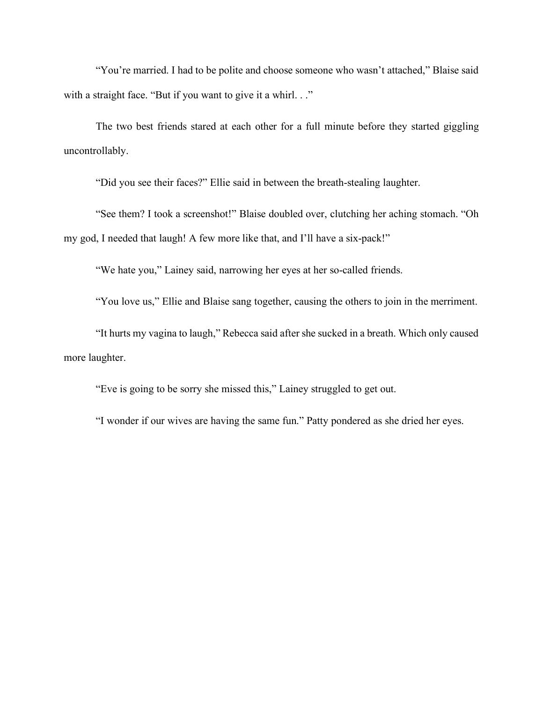"You're married. I had to be polite and choose someone who wasn't attached," Blaise said with a straight face. "But if you want to give it a whirl..."

The two best friends stared at each other for a full minute before they started giggling uncontrollably.

"Did you see their faces?" Ellie said in between the breath-stealing laughter.

"See them? I took a screenshot!" Blaise doubled over, clutching her aching stomach. "Oh my god, I needed that laugh! A few more like that, and I'll have a six-pack!"

"We hate you," Lainey said, narrowing her eyes at her so-called friends.

"You love us," Ellie and Blaise sang together, causing the others to join in the merriment.

"It hurts my vagina to laugh," Rebecca said after she sucked in a breath. Which only caused more laughter.

"Eve is going to be sorry she missed this," Lainey struggled to get out.

"I wonder if our wives are having the same fun." Patty pondered as she dried her eyes.